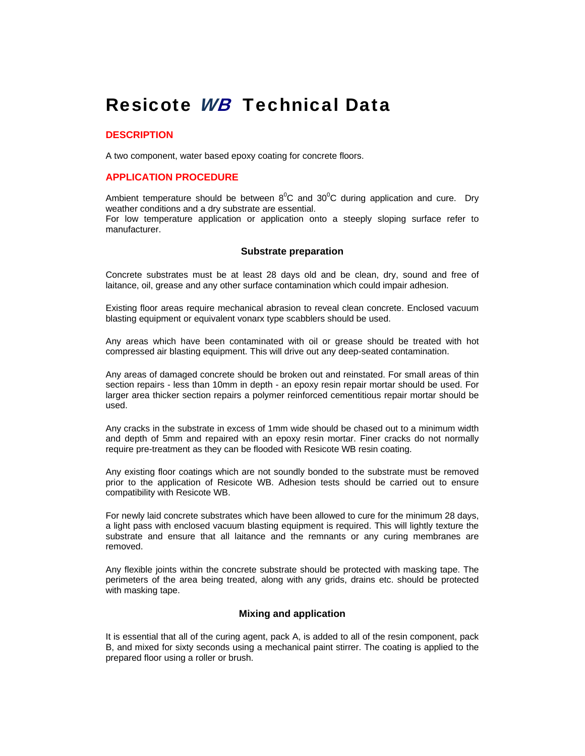# Resicote *WB* Technical Data

#### **DESCRIPTION**

A two component, water based epoxy coating for concrete floors.

#### **APPLICATION PROCEDURE**

Ambient temperature should be between  $8^{\circ}$ C and  $30^{\circ}$ C during application and cure. Dry weather conditions and a dry substrate are essential.

For low temperature application or application onto a steeply sloping surface refer to manufacturer.

#### **Substrate preparation**

Concrete substrates must be at least 28 days old and be clean, dry, sound and free of laitance, oil, grease and any other surface contamination which could impair adhesion.

Existing floor areas require mechanical abrasion to reveal clean concrete. Enclosed vacuum blasting equipment or equivalent vonarx type scabblers should be used.

Any areas which have been contaminated with oil or grease should be treated with hot compressed air blasting equipment. This will drive out any deep-seated contamination.

Any areas of damaged concrete should be broken out and reinstated. For small areas of thin section repairs - less than 10mm in depth - an epoxy resin repair mortar should be used. For larger area thicker section repairs a polymer reinforced cementitious repair mortar should be used.

Any cracks in the substrate in excess of 1mm wide should be chased out to a minimum width and depth of 5mm and repaired with an epoxy resin mortar. Finer cracks do not normally require pre-treatment as they can be flooded with Resicote WB resin coating.

Any existing floor coatings which are not soundly bonded to the substrate must be removed prior to the application of Resicote WB. Adhesion tests should be carried out to ensure compatibility with Resicote WB.

For newly laid concrete substrates which have been allowed to cure for the minimum 28 days, a light pass with enclosed vacuum blasting equipment is required. This will lightly texture the substrate and ensure that all laitance and the remnants or any curing membranes are removed.

Any flexible joints within the concrete substrate should be protected with masking tape. The perimeters of the area being treated, along with any grids, drains etc. should be protected with masking tape.

#### **Mixing and application**

It is essential that all of the curing agent, pack A, is added to all of the resin component, pack B, and mixed for sixty seconds using a mechanical paint stirrer. The coating is applied to the prepared floor using a roller or brush.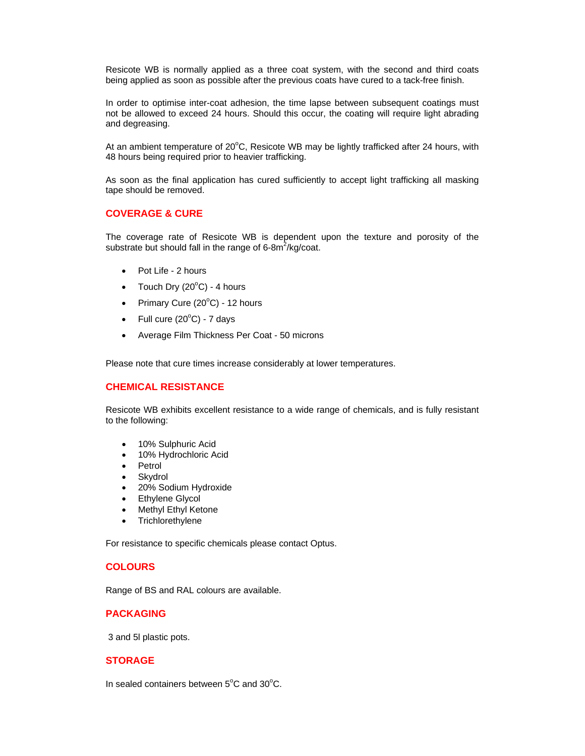Resicote WB is normally applied as a three coat system, with the second and third coats being applied as soon as possible after the previous coats have cured to a tack-free finish.

In order to optimise inter-coat adhesion, the time lapse between subsequent coatings must not be allowed to exceed 24 hours. Should this occur, the coating will require light abrading and degreasing.

At an ambient temperature of 20 $\mathrm{^{\circ}C}$ , Resicote WB may be lightly trafficked after 24 hours, with 48 hours being required prior to heavier trafficking.

As soon as the final application has cured sufficiently to accept light trafficking all masking tape should be removed.

#### **COVERAGE & CURE**

The coverage rate of Resicote WB is dependent upon the texture and porosity of the substrate but should fall in the range of 6-8 $m^2$ /kg/coat.

- Pot Life 2 hours
- Touch Dry  $(20^{\circ}C)$  4 hours
- Primary Cure  $(20^{\circ}C)$  12 hours
- Full cure  $(20^{\circ}C)$  7 days
- Average Film Thickness Per Coat 50 microns

Please note that cure times increase considerably at lower temperatures.

#### **CHEMICAL RESISTANCE**

Resicote WB exhibits excellent resistance to a wide range of chemicals, and is fully resistant to the following:

- 10% Sulphuric Acid
- 10% Hydrochloric Acid
- Petrol
- Skydrol
- 20% Sodium Hydroxide
- Ethylene Glycol
- Methyl Ethyl Ketone
- **Trichlorethylene**

For resistance to specific chemicals please contact Optus.

#### **COLOURS**

Range of BS and RAL colours are available.

# **PACKAGING**

3 and 5l plastic pots.

### **STORAGE**

In sealed containers between  $5^{\circ}$ C and  $30^{\circ}$ C.